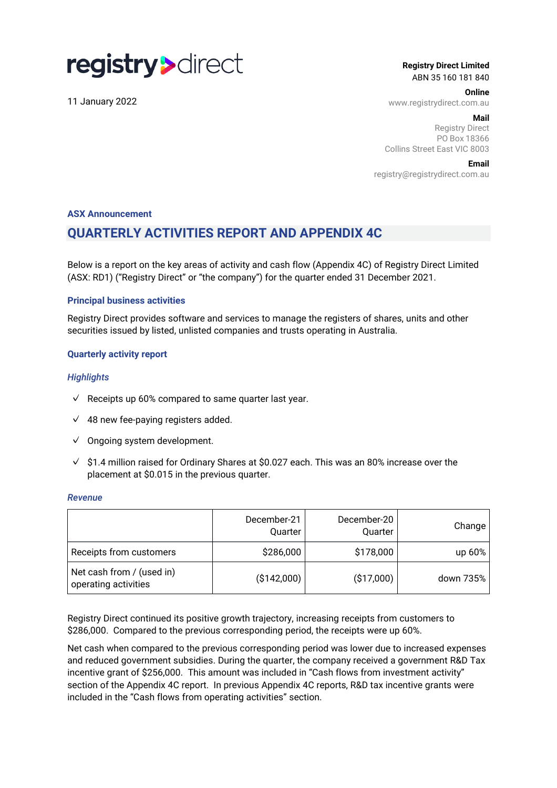# registry>direct

11 January 2022

**Registry Direct Limited** ABN 35 160 181 840

**Online**

www.registrydirect.com.au

#### **Mail**

Registry Direct PO Box 18366 Collins Street East VIC 8003

#### **Email**

registry@registrydirect.com.au

#### **ASX Announcement**

## **QUARTERLY ACTIVITIES REPORT AND APPENDIX 4C**

Below is a report on the key areas of activity and cash flow (Appendix 4C) of Registry Direct Limited (ASX: RD1) ("Registry Direct" or "the company") for the quarter ended 31 December 2021.

#### **Principal business activities**

Registry Direct provides software and services to manage the registers of shares, units and other securities issued by listed, unlisted companies and trusts operating in Australia.

#### **Quarterly activity report**

#### *Highlights*

- $\sqrt{ }$  Receipts up 60% compared to same quarter last year.
- $\sqrt{48}$  new fee-paying registers added.
- ✓ Ongoing system development.
- $\sqrt{ }$ \$1.4 million raised for Ordinary Shares at \$0.027 each. This was an 80% increase over the placement at \$0.015 in the previous quarter.

#### *Revenue*

|                                                   | December-21<br>Quarter | December-20<br>Quarter | Change    |
|---------------------------------------------------|------------------------|------------------------|-----------|
| Receipts from customers                           | \$286,000              | \$178,000              | up $60\%$ |
| Net cash from / (used in)<br>operating activities | (\$142,000)            | ( \$17,000)            | down 735% |

Registry Direct continued its positive growth trajectory, increasing receipts from customers to \$286,000. Compared to the previous corresponding period, the receipts were up 60%.

Net cash when compared to the previous corresponding period was lower due to increased expenses and reduced government subsidies. During the quarter, the company received a government R&D Tax incentive grant of \$256,000. This amount was included in "Cash flows from investment activity" section of the Appendix 4C report. In previous Appendix 4C reports, R&D tax incentive grants were included in the "Cash flows from operating activities" section.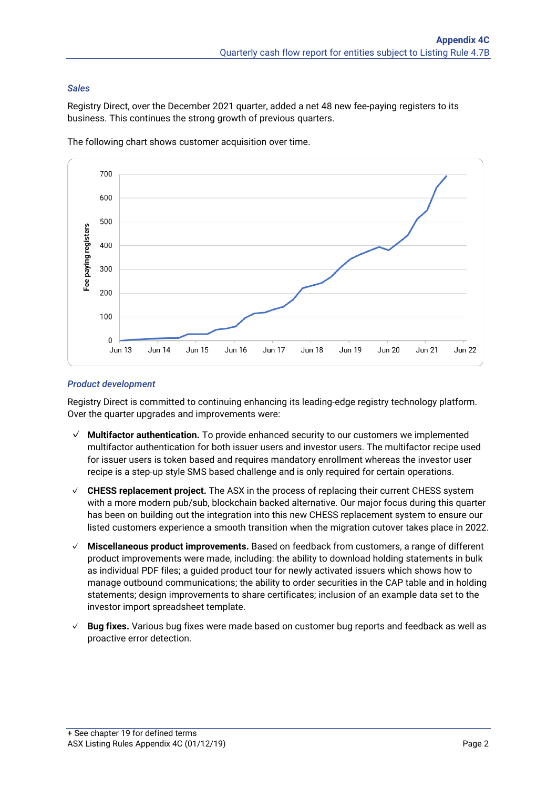#### *Sales*

Registry Direct, over the December 2021 quarter, added a net 48 new fee-paying registers to its business. This continues the strong growth of previous quarters.



The following chart shows customer acquisition over time.

#### *Product development*

Registry Direct is committed to continuing enhancing its leading-edge registry technology platform. Over the quarter upgrades and improvements were:

- ✓ **Multifactor authentication.** To provide enhanced security to our customers we implemented multifactor authentication for both issuer users and investor users. The multifactor recipe used for issuer users is token based and requires mandatory enrollment whereas the investor user recipe is a step-up style SMS based challenge and is only required for certain operations.
- ✓ **CHESS replacement project.** The ASX in the process of replacing their current CHESS system with a more modern pub/sub, blockchain backed alternative. Our major focus during this quarter has been on building out the integration into this new CHESS replacement system to ensure our listed customers experience a smooth transition when the migration cutover takes place in 2022.
- ✓ **Miscellaneous product improvements.** Based on feedback from customers, a range of different product improvements were made, including: the ability to download holding statements in bulk as individual PDF files; a guided product tour for newly activated issuers which shows how to manage outbound communications; the ability to order securities in the CAP table and in holding statements; design improvements to share certificates; inclusion of an example data set to the investor import spreadsheet template.
- ✓ **Bug fixes.** Various bug fixes were made based on customer bug reports and feedback as well as proactive error detection.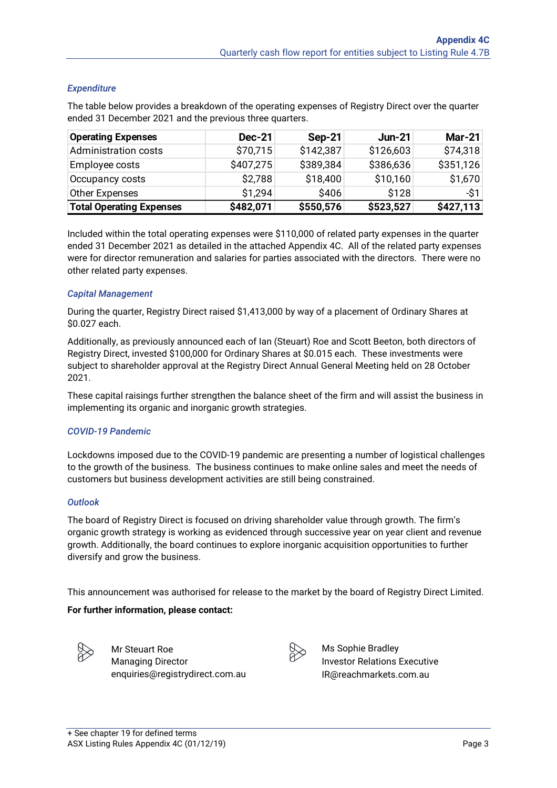#### *Expenditure*

The table below provides a breakdown of the operating expenses of Registry Direct over the quarter ended 31 December 2021 and the previous three quarters.

| <b>Operating Expenses</b>       | <b>Dec-21</b> | $Sep-21$  | <b>Jun-21</b> | <b>Mar-21</b> |
|---------------------------------|---------------|-----------|---------------|---------------|
| <b>Administration costs</b>     | \$70,715      | \$142,387 | \$126,603     | \$74,318      |
| Employee costs                  | \$407,275     | \$389,384 | \$386,636     | \$351,126     |
| Occupancy costs                 | \$2,788       | \$18,400  | \$10,160      | \$1,670       |
| Other Expenses                  | \$1,294       | \$406     | \$128         | $-$ \$1       |
| <b>Total Operating Expenses</b> | \$482,071     | \$550,576 | \$523,527     | \$427,113     |

Included within the total operating expenses were \$110,000 of related party expenses in the quarter ended 31 December 2021 as detailed in the attached Appendix 4C. All of the related party expenses were for director remuneration and salaries for parties associated with the directors. There were no other related party expenses.

#### *Capital Management*

During the quarter, Registry Direct raised \$1,413,000 by way of a placement of Ordinary Shares at \$0.027 each.

Additionally, as previously announced each of Ian (Steuart) Roe and Scott Beeton, both directors of Registry Direct, invested \$100,000 for Ordinary Shares at \$0.015 each. These investments were subject to shareholder approval at the Registry Direct Annual General Meeting held on 28 October 2021.

These capital raisings further strengthen the balance sheet of the firm and will assist the business in implementing its organic and inorganic growth strategies.

#### *COVID-19 Pandemic*

Lockdowns imposed due to the COVID-19 pandemic are presenting a number of logistical challenges to the growth of the business. The business continues to make online sales and meet the needs of customers but business development activities are still being constrained.

#### *Outlook*

The board of Registry Direct is focused on driving shareholder value through growth. The firm's organic growth strategy is working as evidenced through successive year on year client and revenue growth. Additionally, the board continues to explore inorganic acquisition opportunities to further diversify and grow the business.

This announcement was authorised for release to the market by the board of Registry Direct Limited.

#### **For further information, please contact:**



Mr Steuart Roe Managing Director enquiries@registrydirect.com.au



Ms Sophie Bradley Investor Relations Executive IR@reachmarkets.com.au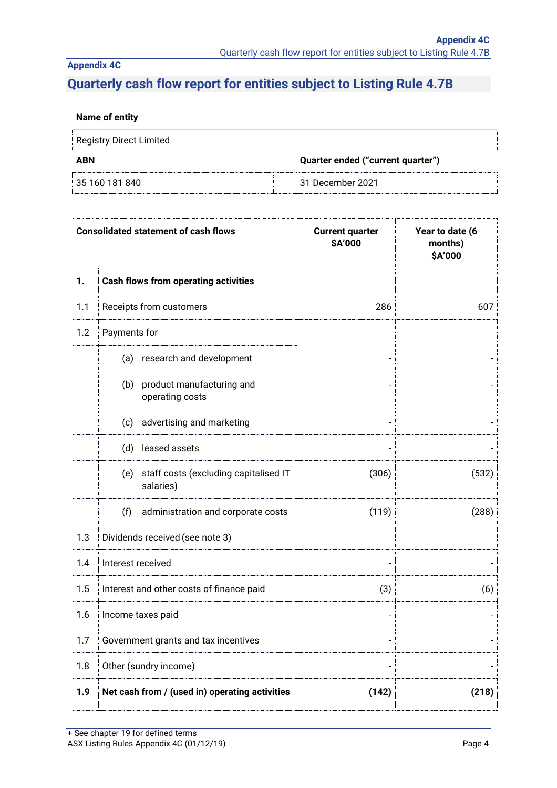## **Appendix 4C**

# **Quarterly cash flow report for entities subject to Listing Rule 4.7B**

#### **Name of entity**

| Registry Direct Limited |                                   |  |
|-------------------------|-----------------------------------|--|
| ABN                     | Quarter ended ("current quarter") |  |
| 35 160 181 840          | 31 December 2021                  |  |

|     |                   | <b>Consolidated statement of cash flows</b>        | <b>Current quarter</b><br>\$A'000 | Year to date (6<br>months)<br>\$A'000 |
|-----|-------------------|----------------------------------------------------|-----------------------------------|---------------------------------------|
| 1.  |                   | <b>Cash flows from operating activities</b>        |                                   |                                       |
| 1.1 |                   | Receipts from customers                            | 286                               | 607                                   |
| 1.2 | Payments for      |                                                    |                                   |                                       |
|     |                   | (a) research and development                       |                                   |                                       |
|     | (b)               | product manufacturing and<br>operating costs       |                                   |                                       |
|     | (c)               | advertising and marketing                          |                                   |                                       |
|     | (d)               | leased assets                                      |                                   |                                       |
|     | (e)               | staff costs (excluding capitalised IT<br>salaries) | (306)                             | (532)                                 |
|     | (f)               | administration and corporate costs                 | (119)                             | (288)                                 |
| 1.3 |                   | Dividends received (see note 3)                    |                                   |                                       |
| 1.4 | Interest received |                                                    |                                   |                                       |
| 1.5 |                   | Interest and other costs of finance paid           | (3)                               | (6)                                   |
| 1.6 |                   | Income taxes paid                                  |                                   |                                       |
| 1.7 |                   | Government grants and tax incentives               |                                   |                                       |
| 1.8 |                   | Other (sundry income)                              |                                   |                                       |
| 1.9 |                   | Net cash from / (used in) operating activities     | (142)                             | (218)                                 |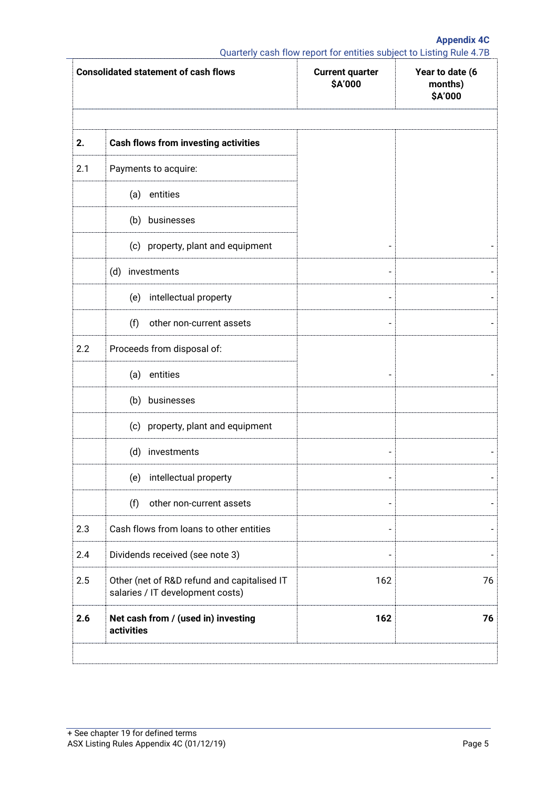**Appendix 4C**

Quarterly cash flow report for entities subject to Listing Rule 4.7B

|     | <b>Consolidated statement of cash flows</b>                                     | <b>Current quarter</b><br>\$A'000 | Year to date (6<br>months)<br>\$A'000 |
|-----|---------------------------------------------------------------------------------|-----------------------------------|---------------------------------------|
| 2.  | <b>Cash flows from investing activities</b>                                     |                                   |                                       |
| 2.1 | Payments to acquire:                                                            |                                   |                                       |
|     | entities<br>(a)                                                                 |                                   |                                       |
|     | (b) businesses                                                                  |                                   |                                       |
|     | (c) property, plant and equipment                                               |                                   |                                       |
|     | (d) investments                                                                 |                                   |                                       |
|     | intellectual property<br>(e)                                                    |                                   |                                       |
|     | (f)<br>other non-current assets                                                 |                                   |                                       |
| 2.2 | Proceeds from disposal of:                                                      |                                   |                                       |
|     | entities<br>(a)                                                                 |                                   |                                       |
|     | (b) businesses                                                                  |                                   |                                       |
|     | (c) property, plant and equipment                                               |                                   |                                       |
|     | (d) investments                                                                 |                                   |                                       |
|     | (e)<br>intellectual property                                                    |                                   |                                       |
|     | (f)<br>other non-current assets                                                 |                                   |                                       |
| 2.3 | Cash flows from loans to other entities                                         |                                   |                                       |
| 2.4 | Dividends received (see note 3)                                                 |                                   |                                       |
| 2.5 | Other (net of R&D refund and capitalised IT<br>salaries / IT development costs) | 162                               | 76                                    |
| 2.6 | Net cash from / (used in) investing<br>activities                               | 162                               | 76                                    |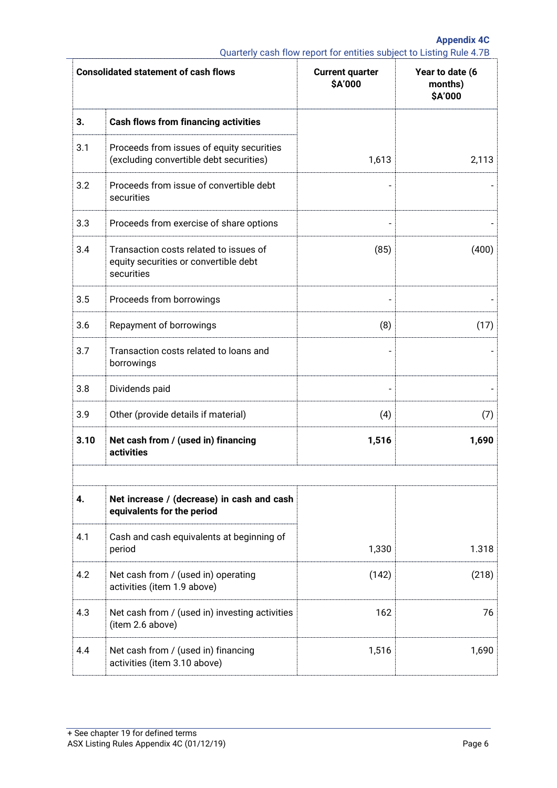**Appendix 4C** Quarterly cash flow report for entities subject to Listing Rule 4.7B

|      | <b>Consolidated statement of cash flows</b>                                                   | <b>Current quarter</b><br>\$A'000 | Year to date (6<br>months)<br>\$A'000 |
|------|-----------------------------------------------------------------------------------------------|-----------------------------------|---------------------------------------|
| 3.   | <b>Cash flows from financing activities</b>                                                   |                                   |                                       |
| 3.1  | Proceeds from issues of equity securities<br>(excluding convertible debt securities)          | 1,613                             | 2,113                                 |
| 3.2  | Proceeds from issue of convertible debt<br>securities                                         |                                   |                                       |
| 3.3  | Proceeds from exercise of share options                                                       |                                   |                                       |
| 3.4  | Transaction costs related to issues of<br>equity securities or convertible debt<br>securities | (85)                              | (400)                                 |
| 3.5  | Proceeds from borrowings                                                                      |                                   |                                       |
| 3.6  | Repayment of borrowings                                                                       | (8)                               | (17)                                  |
| 3.7  | Transaction costs related to loans and<br>borrowings                                          |                                   |                                       |
| 3.8  | Dividends paid                                                                                |                                   |                                       |
| 3.9  | Other (provide details if material)                                                           | (4)                               | (7)                                   |
| 3.10 | Net cash from / (used in) financing<br>activities                                             | 1,516                             | 1,690                                 |
| 4.   | Net increase / (decrease) in cash and cash<br>equivalents for the period                      |                                   |                                       |
| 4.1  | Cash and cash equivalents at beginning of<br>period                                           | 1,330                             | 1.318                                 |
| 4.2  | Net cash from / (used in) operating<br>activities (item 1.9 above)                            | (142)                             | (218)                                 |
| 4.3  | Net cash from / (used in) investing activities<br>(item 2.6 above)                            | 162                               | 76                                    |
| 4.4  | Net cash from / (used in) financing<br>activities (item 3.10 above)                           | 1,516                             | 1,690                                 |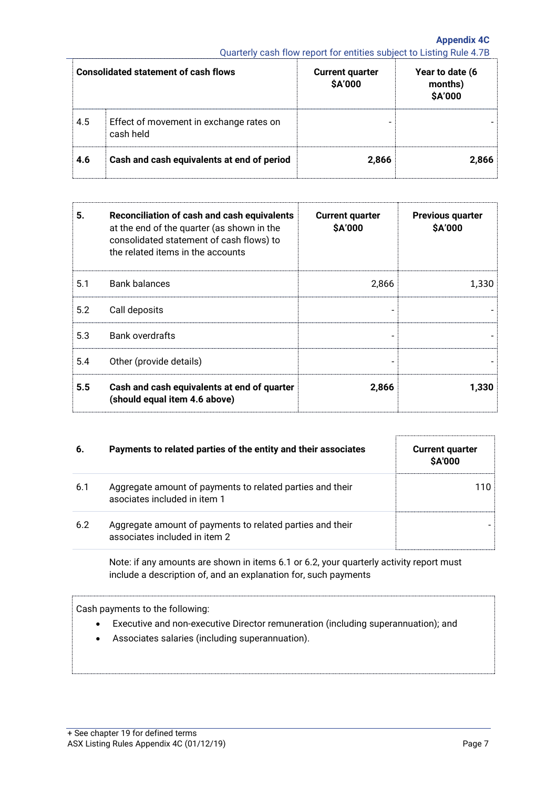**Appendix 4C** Quarterly cash flow report for entities subject to Listing Rule 4.7B

|     | <b>Consolidated statement of cash flows</b>          | <b>Current quarter</b><br><b>\$A'000</b> | Year to date (6<br>months)<br><b>\$A'000</b> |
|-----|------------------------------------------------------|------------------------------------------|----------------------------------------------|
| 4.5 | Effect of movement in exchange rates on<br>cash held |                                          |                                              |
| 4.6 | Cash and cash equivalents at end of period           | 2,866                                    | 2,866                                        |

| 5.  | Reconciliation of cash and cash equivalents<br>at the end of the quarter (as shown in the<br>consolidated statement of cash flows) to<br>the related items in the accounts | <b>Current quarter</b><br>\$A'000 | <b>Previous quarter</b><br><b>SA'000</b> |
|-----|----------------------------------------------------------------------------------------------------------------------------------------------------------------------------|-----------------------------------|------------------------------------------|
| 5.1 | <b>Bank balances</b>                                                                                                                                                       | 2,866                             | 1,330                                    |
| 5.2 | Call deposits                                                                                                                                                              |                                   |                                          |
| 5.3 | <b>Bank overdrafts</b>                                                                                                                                                     | $\qquad \qquad$                   |                                          |
| 5.4 | Other (provide details)                                                                                                                                                    |                                   |                                          |
| 5.5 | Cash and cash equivalents at end of quarter<br>(should equal item 4.6 above)                                                                                               | 2,866                             | 1,330                                    |

| 6.  | Payments to related parties of the entity and their associates                             | <b>Current quarter</b><br><b>SA'000</b> |
|-----|--------------------------------------------------------------------------------------------|-----------------------------------------|
| 6.1 | Aggregate amount of payments to related parties and their<br>asociates included in item 1  | 110                                     |
| 6.2 | Aggregate amount of payments to related parties and their<br>associates included in item 2 |                                         |

Note: if any amounts are shown in items 6.1 or 6.2, your quarterly activity report must include a description of, and an explanation for, such payments

Cash payments to the following:

- Executive and non-executive Director remuneration (including superannuation); and
- Associates salaries (including superannuation).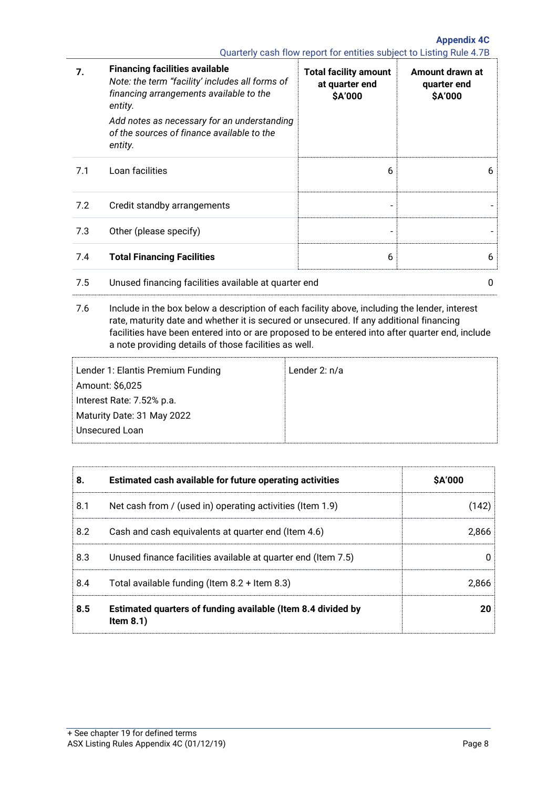**Appendix 4C** Quarterly cash flow report for entities subject to Listing Rule 4.7B

| 7.  | <b>Financing facilities available</b><br>Note: the term "facility' includes all forms of<br>financing arrangements available to the<br>entity.<br>Add notes as necessary for an understanding<br>of the sources of finance available to the<br>entity. | <b>Total facility amount</b><br>at quarter end<br><b>SA'000</b> | Amount drawn at<br>quarter end<br>\$A'000 |
|-----|--------------------------------------------------------------------------------------------------------------------------------------------------------------------------------------------------------------------------------------------------------|-----------------------------------------------------------------|-------------------------------------------|
| 7.1 | Loan facilities                                                                                                                                                                                                                                        | 6                                                               | 6                                         |
| 7.2 | Credit standby arrangements                                                                                                                                                                                                                            |                                                                 |                                           |
| 7.3 | Other (please specify)                                                                                                                                                                                                                                 |                                                                 |                                           |
| 7.4 | <b>Total Financing Facilities</b>                                                                                                                                                                                                                      | 6                                                               | 6                                         |
| 7.5 | Unused financing facilities available at quarter end                                                                                                                                                                                                   |                                                                 | 0                                         |

7.6 Include in the box below a description of each facility above, including the lender, interest rate, maturity date and whether it is secured or unsecured. If any additional financing facilities have been entered into or are proposed to be entered into after quarter end, include a note providing details of those facilities as well.

| Lender 1: Elantis Premium Funding | Lender $2: n/a$ |
|-----------------------------------|-----------------|
| Amount: \$6,025                   |                 |
| Interest Rate: 7.52% p.a.         |                 |
| Maturity Date: 31 May 2022        |                 |
| Unsecured Loan                    |                 |
|                                   |                 |

| 8.  | Estimated cash available for future operating activities                     | <b>\$A'000</b> |
|-----|------------------------------------------------------------------------------|----------------|
| 8.1 | Net cash from / (used in) operating activities (Item 1.9)                    | (142)          |
| 8.2 | Cash and cash equivalents at quarter end (Item 4.6)                          | 2,866          |
| 8.3 | Unused finance facilities available at quarter end (Item 7.5)                |                |
| 8.4 | Total available funding (Item $8.2 +$ Item $8.3$ )                           | 2.866          |
| 8.5 | Estimated quarters of funding available (Item 8.4 divided by<br>Item $8.1$ ) | 20             |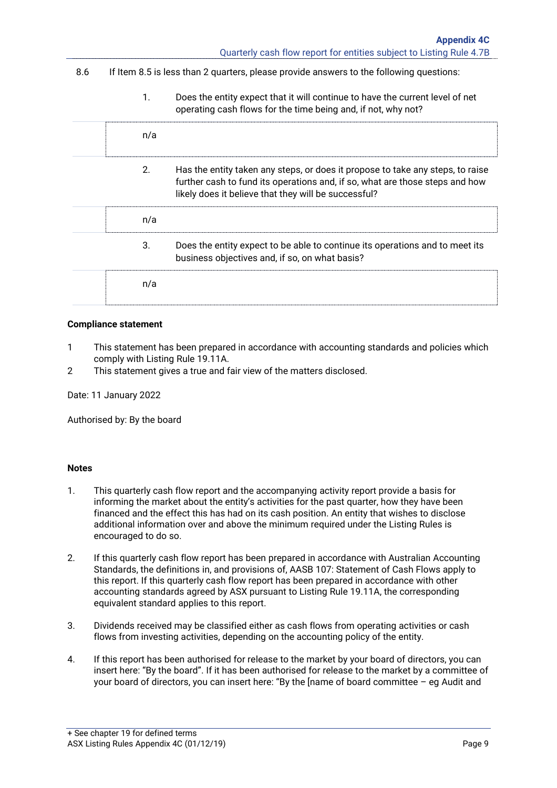|     |                                                                                         | Quarterly cash flow report for entities subject to Listing Rule 4.7B                                                                                                                                                   |
|-----|-----------------------------------------------------------------------------------------|------------------------------------------------------------------------------------------------------------------------------------------------------------------------------------------------------------------------|
| 8.6 | If Item 8.5 is less than 2 quarters, please provide answers to the following questions: |                                                                                                                                                                                                                        |
|     | 1.                                                                                      | Does the entity expect that it will continue to have the current level of net<br>operating cash flows for the time being and, if not, why not?                                                                         |
|     | n/a                                                                                     |                                                                                                                                                                                                                        |
|     | 2.                                                                                      | Has the entity taken any steps, or does it propose to take any steps, to raise<br>further cash to fund its operations and, if so, what are those steps and how<br>likely does it believe that they will be successful? |
|     | n/a                                                                                     |                                                                                                                                                                                                                        |
|     | 3.                                                                                      | Does the entity expect to be able to continue its operations and to meet its<br>business objectives and, if so, on what basis?                                                                                         |
|     | n/a                                                                                     |                                                                                                                                                                                                                        |
|     |                                                                                         |                                                                                                                                                                                                                        |

#### **Compliance statement**

- 1 This statement has been prepared in accordance with accounting standards and policies which comply with Listing Rule 19.11A.
- 2 This statement gives a true and fair view of the matters disclosed.

Date: 11 January 2022

Authorised by: By the board

#### **Notes**

- 1. This quarterly cash flow report and the accompanying activity report provide a basis for informing the market about the entity's activities for the past quarter, how they have been financed and the effect this has had on its cash position. An entity that wishes to disclose additional information over and above the minimum required under the Listing Rules is encouraged to do so.
- 2. If this quarterly cash flow report has been prepared in accordance with Australian Accounting Standards, the definitions in, and provisions of, AASB 107: Statement of Cash Flows apply to this report. If this quarterly cash flow report has been prepared in accordance with other accounting standards agreed by ASX pursuant to Listing Rule 19.11A, the corresponding equivalent standard applies to this report.
- 3. Dividends received may be classified either as cash flows from operating activities or cash flows from investing activities, depending on the accounting policy of the entity.
- 4. If this report has been authorised for release to the market by your board of directors, you can insert here: "By the board". If it has been authorised for release to the market by a committee of your board of directors, you can insert here: "By the [name of board committee – eg Audit and

**Appendix 4C**